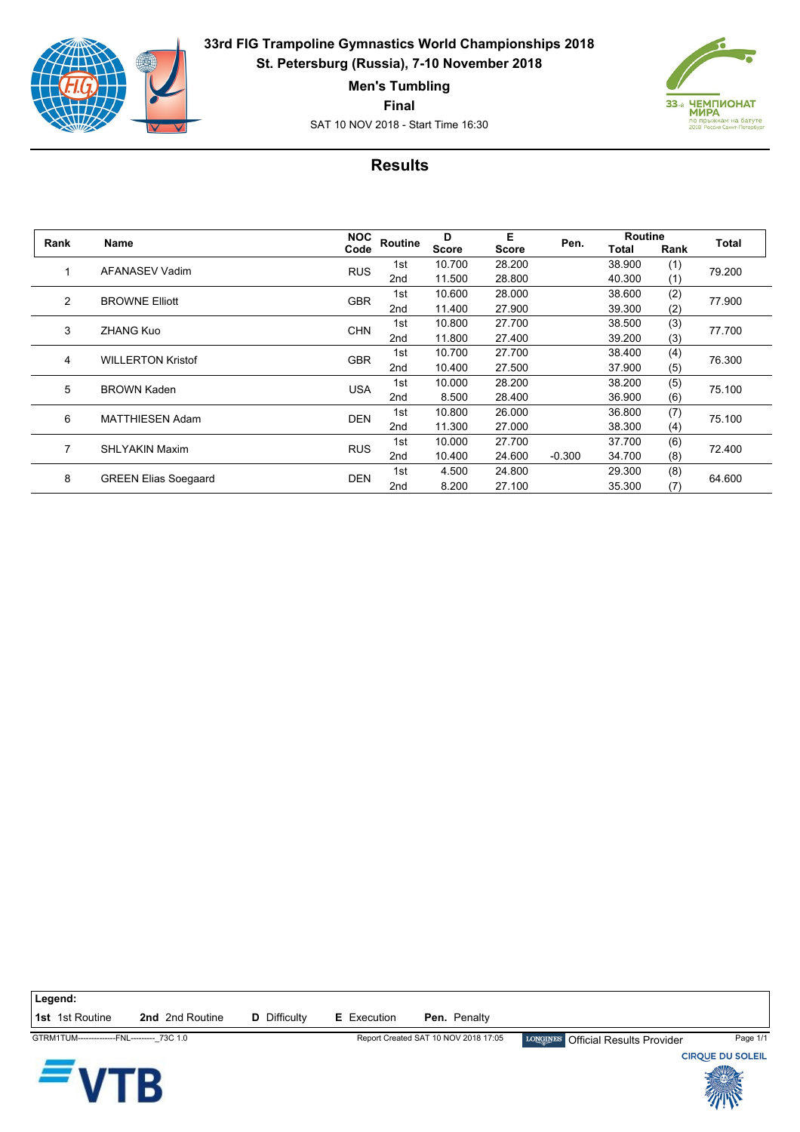

**33rd FIG Trampoline Gymnastics World Championships 2018 St. Petersburg (Russia), 7-10 November 2018**

**Men's Tumbling**

**Final**

SAT 10 NOV 2018 - Start Time 16:30



## **Results**

| Rank | Name                        | <b>NOC</b> | Routine         | D            | Е            | Pen.     | <b>Routine</b> |      | <b>Total</b> |
|------|-----------------------------|------------|-----------------|--------------|--------------|----------|----------------|------|--------------|
|      |                             | Code       |                 | <b>Score</b> | <b>Score</b> |          | Total          | Rank |              |
|      | <b>AFANASEV Vadim</b>       | <b>RUS</b> | 1st             | 10.700       | 28.200       |          | 38.900         | (1)  | 79.200       |
|      |                             |            | 2nd             | 11.500       | 28.800       |          | 40.300         | (1)  |              |
| 2    | <b>BROWNE Elliott</b>       | <b>GBR</b> | 1st             | 10.600       | 28.000       |          | 38.600         | (2)  | 77.900       |
|      |                             |            | 2nd             | 11.400       | 27.900       |          | 39.300         | (2)  |              |
| 3    | <b>ZHANG Kuo</b>            | <b>CHN</b> | 1st             | 10.800       | 27.700       |          | 38.500         | (3)  | 77.700       |
|      |                             |            | 2nd             | 11.800       | 27.400       |          | 39.200         | (3)  |              |
| 4    | <b>WILLERTON Kristof</b>    | <b>GBR</b> | 1st             | 10.700       | 27.700       |          | 38.400         | (4)  | 76.300       |
|      |                             |            | 2nd             | 10.400       | 27.500       |          | 37.900         | (5)  |              |
| 5    | <b>BROWN Kaden</b>          | <b>USA</b> | 1st             | 10.000       | 28.200       |          | 38.200         | (5)  | 75.100       |
|      |                             |            | 2nd             | 8.500        | 28.400       |          | 36.900         | (6)  |              |
| 6    | <b>MATTHIESEN Adam</b>      | <b>DEN</b> | 1st             | 10.800       | 26,000       |          | 36.800         | (7)  | 75.100       |
|      |                             |            | 2 <sub>nd</sub> | 11.300       | 27.000       |          | 38.300         | (4)  |              |
|      | <b>SHLYAKIN Maxim</b>       |            | 1st             | 10.000       | 27.700       |          | 37.700         | (6)  | 72.400       |
|      |                             | <b>RUS</b> | 2nd             | 10.400       | 24.600       | $-0.300$ | 34.700         | (8)  |              |
| 8    | <b>GREEN Elias Soegaard</b> | <b>DEN</b> | 1st             | 4.500        | 24.800       |          | 29.300         | (8)  | 64.600       |
|      |                             |            | 2nd             | 8.200        | 27.100       |          | 35.300         | (7)  |              |

**Legend:**

**1st** 1st Routine **2nd** 2nd Routine **D** Difficulty **E** Execution **Pen.** Penalty



GTRM1TUM--------------FNL---------\_73C 1.0 Report Created SAT 10 NOV 2018 17:05 Official Results Provider Page 1/1